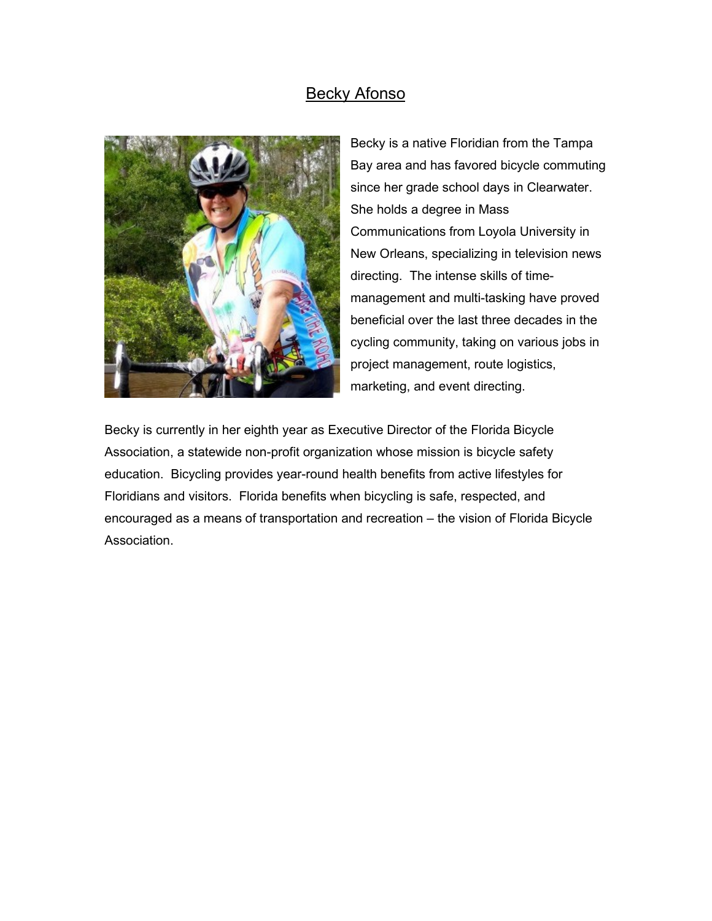## Becky Afonso



Becky is a native Floridian from the Tampa Bay area and has favored bicycle commuting since her grade school days in Clearwater. She holds a degree in Mass Communications from Loyola University in New Orleans, specializing in television news directing. The intense skills of timemanagement and multi-tasking have proved beneficial over the last three decades in the cycling community, taking on various jobs in project management, route logistics, marketing, and event directing.

Becky is currently in her eighth year as Executive Director of the Florida Bicycle Association, a statewide non-profit organization whose mission is bicycle safety education. Bicycling provides year-round health benefits from active lifestyles for Floridians and visitors. Florida benefits when bicycling is safe, respected, and encouraged as a means of transportation and recreation – the vision of Florida Bicycle Association.